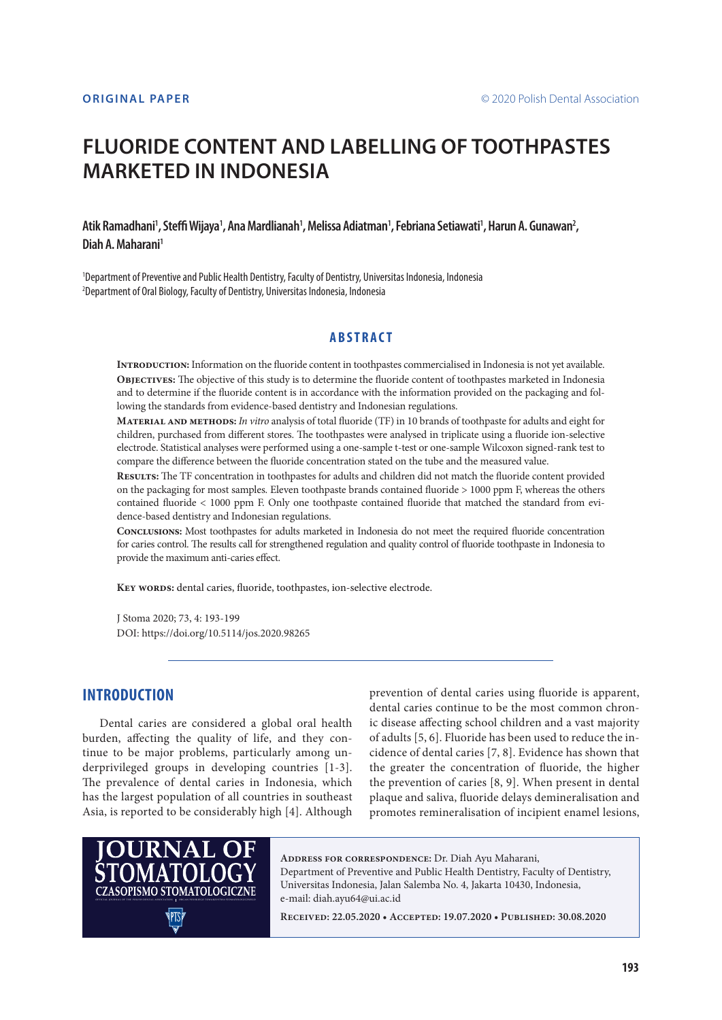# **FLUORIDE CONTENT AND LABELLING OF TOOTHPASTES MARKETED IN INDONESIA**

### Atik Ramadhani', Steffi Wijaya', Ana Mardlianah', Melissa Adiatman', Febriana Setiawati', Harun A. Gunawan<del>'</del>, **Diah A. Maharani1**

1 Department of Preventive and Public Health Dentistry, Faculty of Dentistry, Universitas Indonesia, Indonesia 2 Department of Oral Biology, Faculty of Dentistry, Universitas Indonesia, Indonesia

### **ABSTRACT**

**Introduction:** Information on the fluoride content in toothpastes commercialised in Indonesia is not yet available. **Objectives:** The objective of this study is to determine the fluoride content of toothpastes marketed in Indonesia and to determine if the fluoride content is in accordance with the information provided on the packaging and following the standards from evidence-based dentistry and Indonesian regulations.

**Material and methods:** *In vitro* analysis of total fluoride (TF) in 10 brands of toothpaste for adults and eight for children, purchased from different stores. The toothpastes were analysed in triplicate using a fluoride ion-selective electrode. Statistical analyses were performed using a one-sample t-test or one-sample Wilcoxon signed-rank test to compare the difference between the fluoride concentration stated on the tube and the measured value.

**Results:** The TF concentration in toothpastes for adults and children did not match the fluoride content provided on the packaging for most samples. Eleven toothpaste brands contained fluoride > 1000 ppm F, whereas the others contained fluoride < 1000 ppm F. Only one toothpaste contained fluoride that matched the standard from evidence-based dentistry and Indonesian regulations.

**Conclusions:** Most toothpastes for adults marketed in Indonesia do not meet the required fluoride concentration for caries control. The results call for strengthened regulation and quality control of fluoride toothpaste in Indonesia to provide the maximum anti-caries effect.

KEY WORDS: dental caries, fluoride, toothpastes, ion-selective electrode.

J Stoma 2020; 73, 4: 193-199 DOI: https://doi.org/10.5114/jos.2020.98265

#### **INTRODUCTION**

Dental caries are considered a global oral health burden, affecting the quality of life, and they continue to be major problems, particularly among underprivileged groups in developing countries [1-3]. The prevalence of dental caries in Indonesia, which has the largest population of all countries in southeast Asia, is reported to be considerably high [4]. Although prevention of dental caries using fluoride is apparent, dental caries continue to be the most common chronic disease affecting school children and a vast majority of adults [5, 6]. Fluoride has been used to reduce the incidence of dental caries [7, 8]. Evidence has shown that the greater the concentration of fluoride, the higher the prevention of caries [8, 9]. When present in dental plaque and saliva, fluoride delays demineralisation and promotes remineralisation of incipient enamel lesions,



**Address for correspondence:** Dr. Diah Ayu Maharani, Department of Preventive and Public Health Dentistry, Faculty of Dentistry, Universitas Indonesia, Jalan Salemba No. 4, Jakarta 10430, Indonesia, e-mail: diah.ayu64@ui.ac.id

**Received: 22.05.2020 • Accepted: 19.07.2020 • Published: 30.08.2020**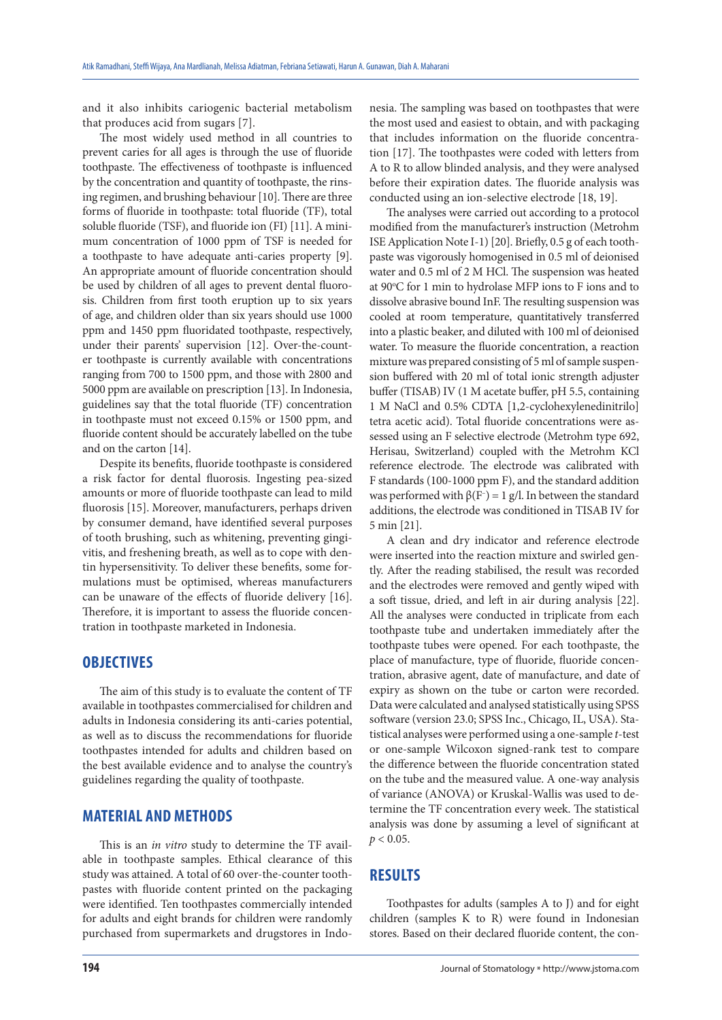and it also inhibits cariogenic bacterial metabolism that produces acid from sugars [7].

The most widely used method in all countries to prevent caries for all ages is through the use of fluoride toothpaste. The effectiveness of toothpaste is influenced by the concentration and quantity of toothpaste, the rinsing regimen, and brushing behaviour [10]. There are three forms of fluoride in toothpaste: total fluoride (TF), total soluble fluoride (TSF), and fluoride ion (FI) [11]. A minimum concentration of 1000 ppm of TSF is needed for a toothpaste to have adequate anti-caries property [9]. An appropriate amount of fluoride concentration should be used by children of all ages to prevent dental fluorosis. Children from first tooth eruption up to six years of age, and children older than six years should use 1000 ppm and 1450 ppm fluoridated toothpaste, respectively, under their parents' supervision [12]. Over-the-counter toothpaste is currently available with concentrations ranging from 700 to 1500 ppm, and those with 2800 and 5000 ppm are available on prescription [13]. In Indonesia, guidelines say that the total fluoride (TF) concentration in toothpaste must not exceed 0.15% or 1500 ppm, and fluoride content should be accurately labelled on the tube and on the carton [14].

Despite its benefits, fluoride toothpaste is considered a risk factor for dental fluorosis. Ingesting pea-sized amounts or more of fluoride toothpaste can lead to mild fluorosis [15]. Moreover, manufacturers, perhaps driven by consumer demand, have identified several purposes of tooth brushing, such as whitening, preventing gingivitis, and freshening breath, as well as to cope with dentin hypersensitivity. To deliver these benefits, some formulations must be optimised, whereas manufacturers can be unaware of the effects of fluoride delivery [16]. Therefore, it is important to assess the fluoride concentration in toothpaste marketed in Indonesia.

## **OBJECTIVES**

The aim of this study is to evaluate the content of TF available in toothpastes commercialised for children and adults in Indonesia considering its anti-caries potential, as well as to discuss the recommendations for fluoride toothpastes intended for adults and children based on the best available evidence and to analyse the country's guidelines regarding the quality of toothpaste.

## **MATERIAL AND METHODS**

This is an *in vitro* study to determine the TF available in toothpaste samples. Ethical clearance of this study was attained. A total of 60 over-the-counter toothpastes with fluoride content printed on the packaging were identified. Ten toothpastes commercially intended for adults and eight brands for children were randomly purchased from supermarkets and drugstores in Indonesia. The sampling was based on toothpastes that were the most used and easiest to obtain, and with packaging that includes information on the fluoride concentration [17]. The toothpastes were coded with letters from A to R to allow blinded analysis, and they were analysed before their expiration dates. The fluoride analysis was conducted using an ion-selective electrode [18, 19].

The analyses were carried out according to a protocol modified from the manufacturer's instruction (Metrohm ISE Application Note I-1) [20]. Briefly, 0.5 g of each toothpaste was vigorously homogenised in 0.5 ml of deionised water and 0.5 ml of 2 M HCl. The suspension was heated at 90°C for 1 min to hydrolase MFP ions to F ions and to dissolve abrasive bound InF. The resulting suspension was cooled at room temperature, quantitatively transferred into a plastic beaker, and diluted with 100 ml of deionised water. To measure the fluoride concentration, a reaction mixture was prepared consisting of 5 ml of sample suspension buffered with 20 ml of total ionic strength adjuster buffer (TISAB) IV (1 M acetate buffer, pH 5.5, containing 1 M NaCl and 0.5% CDTA [1,2-cyclohexylenedinitrilo] tetra acetic acid). Total fluoride concentrations were assessed using an F selective electrode (Metrohm type 692, Herisau, Switzerland) coupled with the Metrohm KCl reference electrode. The electrode was calibrated with F standards (100-1000 ppm F), and the standard addition was performed with  $β(F^-) = 1 g/l$ . In between the standard additions, the electrode was conditioned in TISAB IV for 5 min [21].

A clean and dry indicator and reference electrode were inserted into the reaction mixture and swirled gently. After the reading stabilised, the result was recorded and the electrodes were removed and gently wiped with a soft tissue, dried, and left in air during analysis [22]. All the analyses were conducted in triplicate from each toothpaste tube and undertaken immediately after the toothpaste tubes were opened. For each toothpaste, the place of manufacture, type of fluoride, fluoride concentration, abrasive agent, date of manufacture, and date of expiry as shown on the tube or carton were recorded. Data were calculated and analysed statistically using SPSS software (version 23.0; SPSS Inc., Chicago, IL, USA). Statistical analyses were performed using a one-sample *t*-test or one-sample Wilcoxon signed-rank test to compare the difference between the fluoride concentration stated on the tube and the measured value. A one-way analysis of variance (ANOVA) or Kruskal-Wallis was used to determine the TF concentration every week. The statistical analysis was done by assuming a level of significant at  $p < 0.05$ .

## **RESULTS**

Toothpastes for adults (samples A to J) and for eight children (samples K to R) were found in Indonesian stores. Based on their declared fluoride content, the con-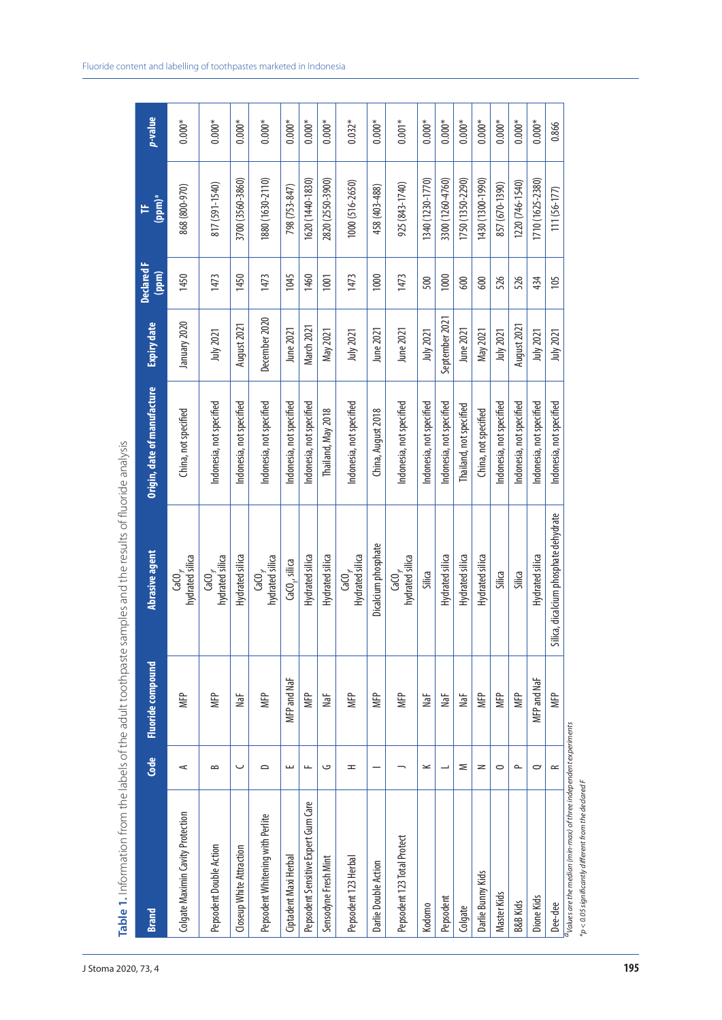|                                     |                          |                          | Table 1. Information from the labels of the adult toothpaste samples and the results of fluoride analysis |                             |                |                            |                  |             |
|-------------------------------------|--------------------------|--------------------------|-----------------------------------------------------------------------------------------------------------|-----------------------------|----------------|----------------------------|------------------|-------------|
| <b>Brand</b>                        | Code                     | <b>Fluoride compound</b> | Abrasive agent                                                                                            | Origin, date of manufacture | Expiry date    | <b>Declared F</b><br>(ppm) | $(ppm)^a$        | p-value     |
| Colgate Maximin Cavity Protection   | ⋖                        | MFP                      | hydrated silica<br>$\mathsf{CaCO}_{\mathfrak{z}'}$                                                        | China, not specified        | January 2020   | 1450                       | 868 (800-970)    | $0.000*$    |
| Pepsodent Double Action             | $\approx$                | MFP                      | hydrated silica<br>$\mathsf{CaCO}_{\mathfrak{z}'}$                                                        | Indonesia, not specified    | July 2021      | 1473                       | 817 (591-1540)   | $0.000^{*}$ |
| Closeup White Attraction            | ب                        | NaF                      | Hydrated silica                                                                                           | Indonesia, not specified    | August 2021    | 1450                       | 3700 (3560-3860) | $0.000*$    |
| Pepsodent Whitening with Perlite    | $\supset$                | <b>MFP</b>               | hydrated silica<br>$GaO_{\gamma}$                                                                         | Indonesia, not specified    | December 2020  | 1473                       | 1880 (1630-2110) | $0.000*$    |
| Ciptadent Maxi Herbal               | ш                        | MFP and NaF              | CaCO <sub>2</sub> , silica                                                                                | Indonesia, not specified    | June 2021      | 1045                       | 798 (753-847)    | $0.000*$    |
| Pepsodent Sensitive Expert Gum Care | $\overline{\phantom{a}}$ | MFP                      | Hydrated silica                                                                                           | Indonesia, not specified    | March 2021     | 1460                       | 1620 (1440-1830) | $0.000*$    |
| Sensodyne Fresh Mint                | ں                        | NaF                      | Hydrated silica                                                                                           | Thailand, May 2018          | May 2021       | 1001                       | 2820 (2550-3900) | $0.000*$    |
| Pepsodent 123 Herbal                | H                        | MFP                      | Hydrated silica<br>$\mathsf{Ca}\mathsf{C}\!\mathsf{O}_{\mathfrak{z}'}$                                    | Indonesia, not specified    | July 2021      | 1473                       | 1000 (516-2650)  | $0.032*$    |
| Darlie Double Action                |                          | MFP                      | Dicalcium phosphate                                                                                       | China, August 2018          | June 2021      | 1000                       | 458 (403-488)    | $0.000*$    |
| Pepsodent 123 Total Protect         |                          | MFP                      | hydrated silica<br>$\mathbf{G}^{\mathbf{C}_{\grave{\boldsymbol{\gamma}}}}$                                | Indonesia, not specified    | June 2021      | 1473                       | 925 (843-1740)   | $0.001*$    |
| Kodomo                              | $\!\! \simeq$            | NaF                      | Silica                                                                                                    | Indonesia, not specified    | July 2021      | 500                        | 1340 (1230-1770) | $0.000*$    |
| Pepsodent                           |                          | NaF                      | Hydrated silica                                                                                           | Indonesia, not specified    | September 2021 | 1000                       | 3300 (1260-4760) | $0.000*$    |
| Colgate                             | Σ                        | NaF                      | Hydrated silica                                                                                           | Thailand, not specified     | June 2021      | 600                        | 1750 (1350-2290) | $0.000*$    |
| Darlie Bunny Kids                   | $\geq$                   | MFP                      | Hydrated silica                                                                                           | China, not specified        | May 2021       | 600                        | 1430 (1300-1990) | $0.000*$    |
| Master Kids                         | $\circ$                  | MFP                      | Silica                                                                                                    | Indonesia, not specified    | July 2021      | 526                        | 857 (670-1390)   | $0.000^{*}$ |
| <b>B&amp;B Kids</b>                 | $\sim$                   | MFP                      | Silica                                                                                                    | Indonesia, not specified    | August 2021    | 526                        | 1220 (746-1540)  | $0.000*$    |
| Dione Kids                          | $\sim$                   | MFP and NaF              | Hydrated silica                                                                                           | Indonesia, not specified    | July 2021      | 434                        | 1710 (1625-2380) | $0.000*$    |
| Dee-dee                             | $\approx$                | MFP                      | Silica, dicalcium phosphate dehydrate                                                                     | Indonesia, not specified    | July 2021      | 105                        | $111(56-177)$    | 0.866       |

 $^{1}$ Values are the median (min-max) of three independent experiments *aValues are the median (min-max) of three independent experiments*  $*p < 0.05$  significantly different from the declared F *\*p < 0.05 significantly different from the declared F*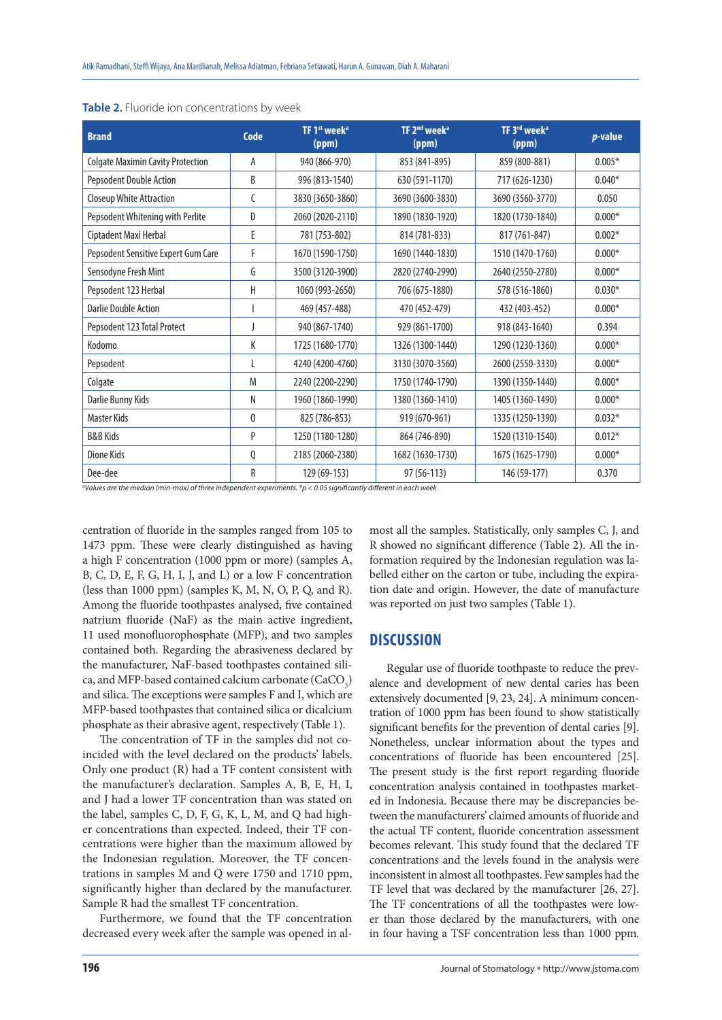| <b>Brand</b>                             | Code         | TF 1 <sup>st</sup> week <sup>a</sup><br>(ppm) | TF 2 <sup>nd</sup> week <sup>a</sup><br>(ppm) | TF 3rd week <sup>a</sup><br>(ppm) | p-value  |
|------------------------------------------|--------------|-----------------------------------------------|-----------------------------------------------|-----------------------------------|----------|
| <b>Colgate Maximin Cavity Protection</b> | A            | 940 (866-970)                                 | 853 (841-895)                                 | 859 (800-881)                     | $0.005*$ |
| Pepsodent Double Action                  | B            | 996 (813-1540)                                | 630 (591-1170)                                | 717 (626-1230)                    | $0.040*$ |
| Closeup White Attraction                 | C            | 3830 (3650-3860)                              | 3690 (3600-3830)                              | 3690 (3560-3770)                  | 0.050    |
| Pepsodent Whitening with Perlite         | D            | 2060 (2020-2110)                              | 1890 (1830-1920)                              | 1820 (1730-1840)                  | $0.000*$ |
| Ciptadent Maxi Herbal                    | E            | 781 (753-802)                                 | 814 (781-833)                                 | 817 (761-847)                     | $0.002*$ |
| Pepsodent Sensitive Expert Gum Care      | F            | 1670 (1590-1750)                              | 1690 (1440-1830)                              | 1510 (1470-1760)                  | $0.000*$ |
| Sensodyne Fresh Mint                     | G            | 3500 (3120-3900)                              | 2820 (2740-2990)                              | 2640 (2550-2780)                  | $0.000*$ |
| Pepsodent 123 Herbal                     | Н            | 1060 (993-2650)                               | 706 (675-1880)                                | 578 (516-1860)                    | $0.030*$ |
| <b>Darlie Double Action</b>              |              | 469 (457-488)                                 | 470 (452-479)                                 | 432 (403-452)                     | $0.000*$ |
| Pepsodent 123 Total Protect              |              | 940 (867-1740)                                | 929 (861-1700)                                | 918 (843-1640)                    | 0.394    |
| Kodomo                                   | К            | 1725 (1680-1770)                              | 1326 (1300-1440)                              | 1290 (1230-1360)                  | $0.000*$ |
| Pepsodent                                | L            | 4240 (4200-4760)                              | 3130 (3070-3560)                              | 2600 (2550-3330)                  | $0.000*$ |
| Colgate                                  | M            | 2240 (2200-2290)                              | 1750 (1740-1790)                              | 1390 (1350-1440)                  | $0.000*$ |
| Darlie Bunny Kids                        | N            | 1960 (1860-1990)                              | 1380 (1360-1410)                              | 1405 (1360-1490)                  | $0.000*$ |
| Master Kids                              | $\mathbf{0}$ | 825 (786-853)                                 | 919 (670-961)                                 | 1335 (1250-1390)                  | $0.032*$ |
| <b>B&amp;B Kids</b>                      | P            | 1250 (1180-1280)                              | 864 (746-890)                                 | 1520 (1310-1540)                  | $0.012*$ |
| Dione Kids                               | Q            | 2185 (2060-2380)                              | 1682 (1630-1730)                              | 1675 (1625-1790)                  | $0.000*$ |
| Dee-dee                                  | R            | 129 (69-153)                                  | 97 (56-113)                                   | 146 (59-177)                      | 0.370    |

|  |  | Table 2. Fluoride ion concentrations by week |  |
|--|--|----------------------------------------------|--|
|--|--|----------------------------------------------|--|

*a Values are the median (min-max) of three independent experiments. \*p < 0.05 significantly different in each week*

centration of fluoride in the samples ranged from 105 to 1473 ppm. These were clearly distinguished as having a high F concentration (1000 ppm or more) (samples A, B, C, D, E, F, G, H, I, J, and L) or a low F concentration (less than 1000 ppm) (samples K, M, N, O, P, Q, and R). Among the fluoride toothpastes analysed, five contained natrium fluoride (NaF) as the main active ingredient, 11 used monofluorophosphate (MFP), and two samples contained both. Regarding the abrasiveness declared by the manufacturer, NaF-based toothpastes contained silica, and MFP-based contained calcium carbonate  $(\text{CaCO}_3)$ and silica. The exceptions were samples F and I, which are MFP-based toothpastes that contained silica or dicalcium phosphate as their abrasive agent, respectively (Table 1).

The concentration of TF in the samples did not coincided with the level declared on the products' labels. Only one product (R) had a TF content consistent with the manufacturer's declaration. Samples A, B, E, H, I, and J had a lower TF concentration than was stated on the label, samples C, D, F, G, K, L, M, and Q had higher concentrations than expected. Indeed, their TF concentrations were higher than the maximum allowed by the Indonesian regulation. Moreover, the TF concentrations in samples M and Q were 1750 and 1710 ppm, significantly higher than declared by the manufacturer. Sample R had the smallest TF concentration.

Furthermore, we found that the TF concentration decreased every week after the sample was opened in al-

most all the samples. Statistically, only samples C, J, and R showed no significant difference (Table 2). All the information required by the Indonesian regulation was labelled either on the carton or tube, including the expiration date and origin. However, the date of manufacture was reported on just two samples (Table 1).

## **DISCUSSION**

Regular use of fluoride toothpaste to reduce the prevalence and development of new dental caries has been extensively documented [9, 23, 24]. A minimum concentration of 1000 ppm has been found to show statistically significant benefits for the prevention of dental caries [9]. Nonetheless, unclear information about the types and concentrations of fluoride has been encountered [25]. The present study is the first report regarding fluoride concentration analysis contained in toothpastes marketed in Indonesia. Because there may be discrepancies between the manufacturers' claimed amounts of fluoride and the actual TF content, fluoride concentration assessment becomes relevant. This study found that the declared TF concentrations and the levels found in the analysis were inconsistent in almost all toothpastes. Few samples had the TF level that was declared by the manufacturer [26, 27]. The TF concentrations of all the toothpastes were lower than those declared by the manufacturers, with one in four having a TSF concentration less than 1000 ppm.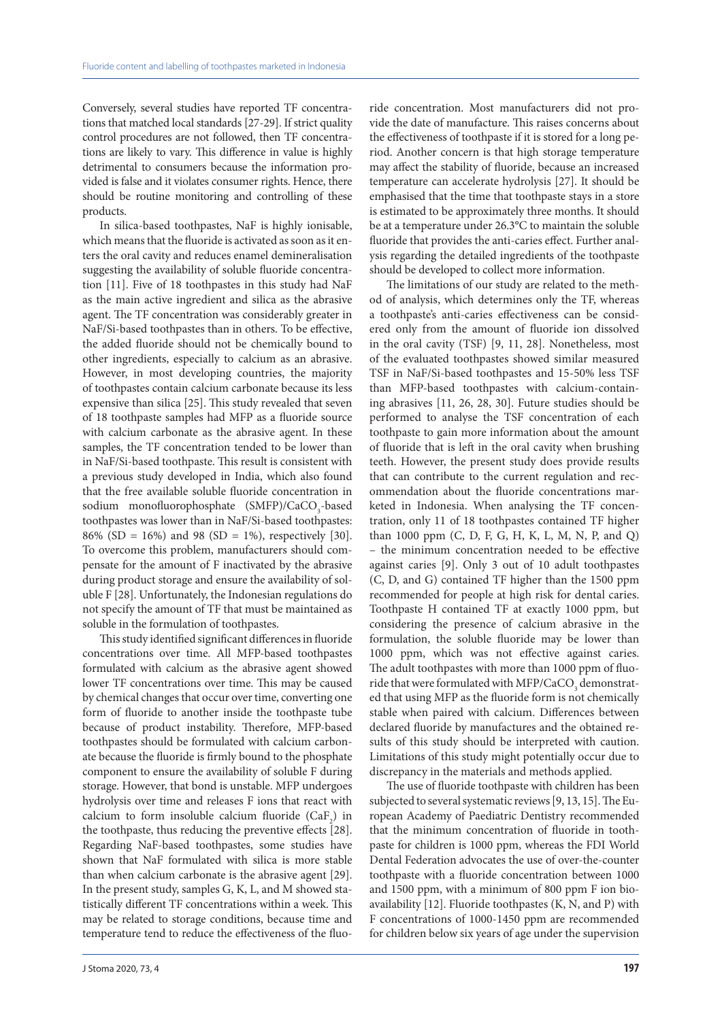Conversely, several studies have reported TF concentrations that matched local standards [27-29]. If strict quality control procedures are not followed, then TF concentrations are likely to vary. This difference in value is highly detrimental to consumers because the information provided is false and it violates consumer rights. Hence, there should be routine monitoring and controlling of these products.

In silica-based toothpastes, NaF is highly ionisable, which means that the fluoride is activated as soon as it enters the oral cavity and reduces enamel demineralisation suggesting the availability of soluble fluoride concentration [11]. Five of 18 toothpastes in this study had NaF as the main active ingredient and silica as the abrasive agent. The TF concentration was considerably greater in NaF/Si-based toothpastes than in others. To be effective, the added fluoride should not be chemically bound to other ingredients, especially to calcium as an abrasive. However, in most developing countries, the majority of toothpastes contain calcium carbonate because its less expensive than silica [25]. This study revealed that seven of 18 toothpaste samples had MFP as a fluoride source with calcium carbonate as the abrasive agent. In these samples, the TF concentration tended to be lower than in NaF/Si-based toothpaste. This result is consistent with a previous study developed in India, which also found that the free available soluble fluoride concentration in sodium monofluorophosphate  $(SMFP)/CaCO<sub>3</sub>$ -based toothpastes was lower than in NaF/Si-based toothpastes: 86% (SD = 16%) and 98 (SD = 1%), respectively [30]. To overcome this problem, manufacturers should compensate for the amount of F inactivated by the abrasive during product storage and ensure the availability of soluble F [28]. Unfortunately, the Indonesian regulations do not specify the amount of TF that must be maintained as soluble in the formulation of toothpastes.

This study identified significant differences in fluoride concentrations over time. All MFP-based toothpastes formulated with calcium as the abrasive agent showed lower TF concentrations over time. This may be caused by chemical changes that occur over time, converting one form of fluoride to another inside the toothpaste tube because of product instability. Therefore, MFP-based toothpastes should be formulated with calcium carbonate because the fluoride is firmly bound to the phosphate component to ensure the availability of soluble F during storage. However, that bond is unstable. MFP undergoes hydrolysis over time and releases F ions that react with calcium to form insoluble calcium fluoride  $(CaF_2)$  in the toothpaste, thus reducing the preventive effects [28]. Regarding NaF-based toothpastes, some studies have shown that NaF formulated with silica is more stable than when calcium carbonate is the abrasive agent [29]. In the present study, samples G, K, L, and M showed statistically different TF concentrations within a week. This may be related to storage conditions, because time and temperature tend to reduce the effectiveness of the fluoride concentration. Most manufacturers did not provide the date of manufacture. This raises concerns about the effectiveness of toothpaste if it is stored for a long period. Another concern is that high storage temperature may affect the stability of fluoride, because an increased temperature can accelerate hydrolysis [27]. It should be emphasised that the time that toothpaste stays in a store is estimated to be approximately three months. It should be at a temperature under 26.3°C to maintain the soluble fluoride that provides the anti-caries effect. Further analysis regarding the detailed ingredients of the toothpaste should be developed to collect more information.

The limitations of our study are related to the method of analysis, which determines only the TF, whereas a toothpaste's anti-caries effectiveness can be considered only from the amount of fluoride ion dissolved in the oral cavity (TSF) [9, 11, 28]. Nonetheless, most of the evaluated toothpastes showed similar measured TSF in NaF/Si-based toothpastes and 15-50% less TSF than MFP-based toothpastes with calcium-containing abrasives [11, 26, 28, 30]. Future studies should be performed to analyse the TSF concentration of each toothpaste to gain more information about the amount of fluoride that is left in the oral cavity when brushing teeth. However, the present study does provide results that can contribute to the current regulation and recommendation about the fluoride concentrations marketed in Indonesia. When analysing the TF concentration, only 11 of 18 toothpastes contained TF higher than 1000 ppm (C, D, F, G, H, K, L, M, N, P, and Q) – the minimum concentration needed to be effective against caries [9]. Only 3 out of 10 adult toothpastes (C, D, and G) contained TF higher than the 1500 ppm recommended for people at high risk for dental caries. Toothpaste H contained TF at exactly 1000 ppm, but considering the presence of calcium abrasive in the formulation, the soluble fluoride may be lower than 1000 ppm, which was not effective against caries. The adult toothpastes with more than 1000 ppm of fluoride that were formulated with MFP/CaCO<sub>3</sub> demonstrated that using MFP as the fluoride form is not chemically stable when paired with calcium. Differences between declared fluoride by manufactures and the obtained results of this study should be interpreted with caution. Limitations of this study might potentially occur due to discrepancy in the materials and methods applied.

The use of fluoride toothpaste with children has been subjected to several systematic reviews [9, 13, 15]. The European Academy of Paediatric Dentistry recommended that the minimum concentration of fluoride in toothpaste for children is 1000 ppm, whereas the FDI World Dental Federation advocates the use of over-the-counter toothpaste with a fluoride concentration between 1000 and 1500 ppm, with a minimum of 800 ppm F ion bioavailability [12]. Fluoride toothpastes (K, N, and P) with F concentrations of 1000-1450 ppm are recommended for children below six years of age under the supervision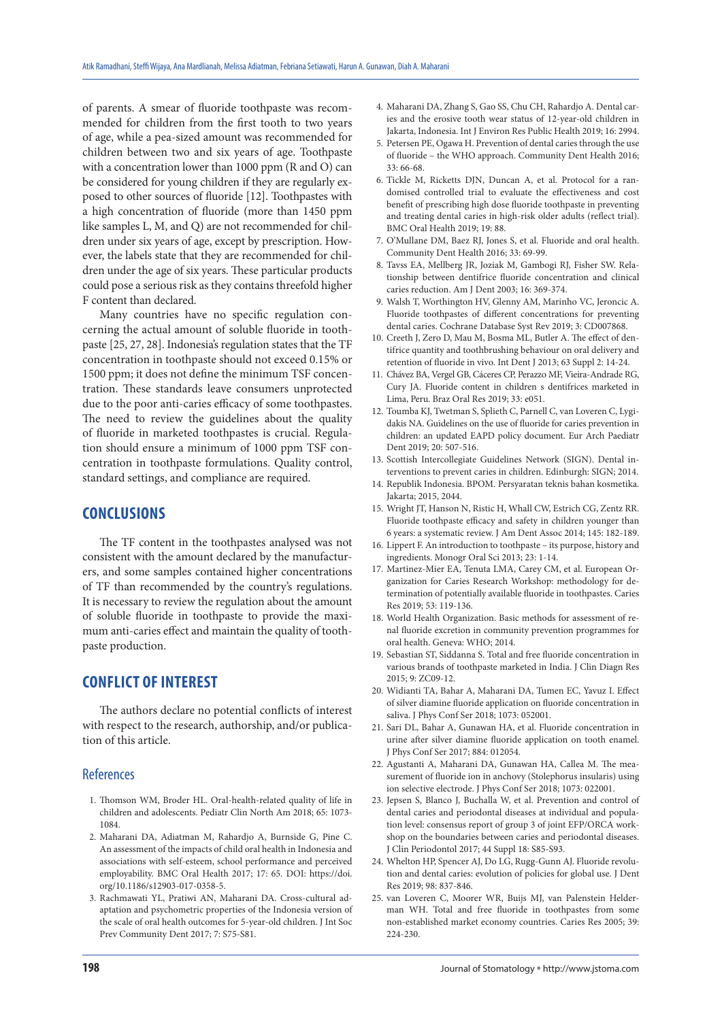of parents. A smear of fluoride toothpaste was recommended for children from the first tooth to two years of age, while a pea-sized amount was recommended for children between two and six years of age. Toothpaste with a concentration lower than 1000 ppm (R and O) can be considered for young children if they are regularly exposed to other sources of fluoride [12]. Toothpastes with a high concentration of fluoride (more than 1450 ppm like samples L, M, and Q) are not recommended for children under six years of age, except by prescription. However, the labels state that they are recommended for children under the age of six years. These particular products could pose a serious risk as they contains threefold higher F content than declared.

Many countries have no specific regulation concerning the actual amount of soluble fluoride in toothpaste [25, 27, 28]. Indonesia's regulation states that the TF concentration in toothpaste should not exceed 0.15% or 1500 ppm; it does not define the minimum TSF concentration. These standards leave consumers unprotected due to the poor anti-caries efficacy of some toothpastes. The need to review the guidelines about the quality of fluoride in marketed toothpastes is crucial. Regulation should ensure a minimum of 1000 ppm TSF concentration in toothpaste formulations. Quality control, standard settings, and compliance are required.

## **CONCLUSIONS**

The TF content in the toothpastes analysed was not consistent with the amount declared by the manufacturers, and some samples contained higher concentrations of TF than recommended by the country's regulations. It is necessary to review the regulation about the amount of soluble fluoride in toothpaste to provide the maximum anti-caries effect and maintain the quality of toothpaste production.

## **CONFLICT OF INTEREST**

The authors declare no potential conflicts of interest with respect to the research, authorship, and/or publication of this article.

#### **References**

- 1. Thomson WM, Broder HL. Oral-health-related quality of life in children and adolescents. Pediatr Clin North Am 2018; 65: 1073- 1084.
- 2. Maharani DA, Adiatman M, Rahardjo A, Burnside G, Pine C. An assessment of the impacts of child oral health in Indonesia and associations with self-esteem, school performance and perceived employability. BMC Oral Health 2017; 17: 65. DOI: https://doi. org/10.1186/s12903-017-0358-5.
- 3. Rachmawati YL, Pratiwi AN, Maharani DA. Cross-cultural adaptation and psychometric properties of the Indonesia version of the scale of oral health outcomes for 5-year-old children. J Int Soc Prev Community Dent 2017; 7: S75-S81.
- 4. Maharani DA, Zhang S, Gao SS, Chu CH, Rahardjo A. Dental caries and the erosive tooth wear status of 12-year-old children in Jakarta, Indonesia. Int J Environ Res Public Health 2019; 16: 2994.
- 5. Petersen PE, Ogawa H. Prevention of dental caries through the use of fluoride – the WHO approach. Community Dent Health 2016; 33: 66-68.
- 6. Tickle M, Ricketts DJN, Duncan A, et al. Protocol for a randomised controlled trial to evaluate the effectiveness and cost benefit of prescribing high dose fluoride toothpaste in preventing and treating dental caries in high-risk older adults (reflect trial). BMC Oral Health 2019; 19: 88.
- 7. O'Mullane DM, Baez RJ, Jones S, et al. Fluoride and oral health. Community Dent Health 2016; 33: 69-99.
- 8. Tavss EA, Mellberg JR, Joziak M, Gambogi RJ, Fisher SW. Relationship between dentifrice fluoride concentration and clinical caries reduction. Am J Dent 2003; 16: 369-374.
- 9. Walsh T, Worthington HV, Glenny AM, Marinho VC, Jeroncic A. Fluoride toothpastes of different concentrations for preventing dental caries. Cochrane Database Syst Rev 2019; 3: CD007868.
- 10. Creeth J, Zero D, Mau M, Bosma ML, Butler A. The effect of dentifrice quantity and toothbrushing behaviour on oral delivery and retention of fluoride in vivo. Int Dent J 2013; 63 Suppl 2: 14-24.
- 11. Chávez BA, Vergel GB, Cáceres CP, Perazzo MF, Vieira-Andrade RG, Cury JA. Fluoride content in children s dentifrices marketed in Lima, Peru. Braz Oral Res 2019; 33: e051.
- 12. Toumba KJ, Twetman S, Splieth C, Parnell C, van Loveren C, Lygidakis NΑ. Guidelines on the use of fluoride for caries prevention in children: an updated EAPD policy document. Eur Arch Paediatr Dent 2019; 20: 507-516.
- 13. Scottish Intercollegiate Guidelines Network (SIGN). Dental interventions to prevent caries in children. Edinburgh: SIGN; 2014.
- 14. Republik Indonesia. BPOM. Persyaratan teknis bahan kosmetika. Jakarta; 2015, 2044.
- 15. Wright JT, Hanson N, Ristic H, Whall CW, Estrich CG, Zentz RR. Fluoride toothpaste efficacy and safety in children younger than 6 years: a systematic review. J Am Dent Assoc 2014; 145: 182-189.
- 16. Lippert F. An introduction to toothpaste its purpose, history and ingredients. Monogr Oral Sci 2013; 23: 1-14.
- 17. Martinez-Mier EA, Tenuta LMA, Carey CM, et al. European Organization for Caries Research Workshop: methodology for determination of potentially available fluoride in toothpastes. Caries Res 2019; 53: 119-136.
- 18. World Health Organization. Basic methods for assessment of renal fluoride excretion in community prevention programmes for oral health. Geneva: WHO; 2014.
- 19. Sebastian ST, Siddanna S. Total and free fluoride concentration in various brands of toothpaste marketed in India. J Clin Diagn Res 2015; 9: ZC09-12.
- 20. Widianti TA, Bahar A, Maharani DA, Tumen EC, Yavuz I. Effect of silver diamine fluoride application on fluoride concentration in saliva. J Phys Conf Ser 2018; 1073: 052001.
- 21. Sari DL, Bahar A, Gunawan HA, et al. Fluoride concentration in urine after silver diamine fluoride application on tooth enamel. J Phys Conf Ser 2017; 884: 012054.
- 22. Agustanti A, Maharani DA, Gunawan HA, Callea M. The measurement of fluoride ion in anchovy (Stolephorus insularis) using ion selective electrode. J Phys Conf Ser 2018; 1073: 022001.
- 23. Jepsen S, Blanco J, Buchalla W, et al. Prevention and control of dental caries and periodontal diseases at individual and population level: consensus report of group 3 of joint EFP/ORCA workshop on the boundaries between caries and periodontal diseases. J Clin Periodontol 2017; 44 Suppl 18: S85-S93.
- 24. Whelton HP, Spencer AJ, Do LG, Rugg-Gunn AJ. Fluoride revolution and dental caries: evolution of policies for global use. J Dent Res 2019; 98: 837-846.
- 25. van Loveren C, Moorer WR, Buijs MJ, van Palenstein Helderman WH. Total and free fluoride in toothpastes from some non-established market economy countries. Caries Res 2005; 39: 224-230.